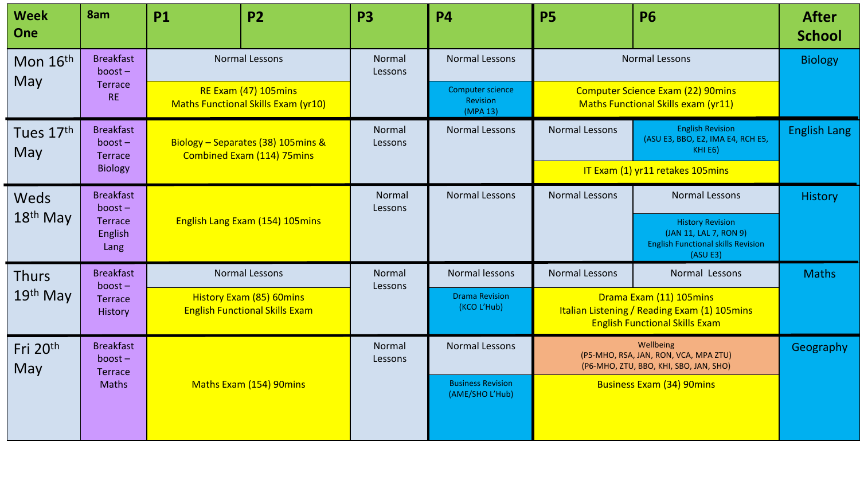| <b>Week</b><br>One | 8am                                             | <b>P1</b>                                                                                   | <b>P2</b>                       | <b>P3</b>         | <b>P4</b>                                   | <b>P5</b>                                                                                    | <b>P6</b>                                                                                                        | <b>After</b><br><b>School</b> |  |                |
|--------------------|-------------------------------------------------|---------------------------------------------------------------------------------------------|---------------------------------|-------------------|---------------------------------------------|----------------------------------------------------------------------------------------------|------------------------------------------------------------------------------------------------------------------|-------------------------------|--|----------------|
| Mon 16th           | <b>Breakfast</b><br>$boost -$                   | <b>Normal Lessons</b><br>RE Exam (47) 105mins<br><b>Maths Functional Skills Exam (yr10)</b> |                                 |                   |                                             | Normal<br>Lessons                                                                            | <b>Normal Lessons</b>                                                                                            | <b>Normal Lessons</b>         |  | <b>Biology</b> |
| May                | Terrace<br><b>RE</b>                            |                                                                                             |                                 |                   | Computer science<br>Revision<br>(MPA 13)    | <b>Computer Science Exam (22) 90mins</b><br>Maths Functional Skills exam (yr11)              |                                                                                                                  |                               |  |                |
| Tues 17th<br>May   | <b>Breakfast</b><br>$boost -$<br><b>Terrace</b> | Biology - Separates (38) 105mins &<br><b>Combined Exam (114) 75mins</b>                     |                                 | Normal<br>Lessons | <b>Normal Lessons</b>                       | Normal Lessons                                                                               | <b>English Revision</b><br>(ASU E3, BBO, E2, IMA E4, RCH E5,<br>KHI E6)                                          | <b>English Lang</b>           |  |                |
|                    | <b>Biology</b>                                  |                                                                                             |                                 |                   |                                             | IT Exam (1) yr11 retakes 105mins                                                             |                                                                                                                  |                               |  |                |
| Weds               | <b>Breakfast</b><br>$boost -$                   |                                                                                             |                                 | Normal<br>Lessons | <b>Normal Lessons</b>                       | <b>Normal Lessons</b>                                                                        | <b>Normal Lessons</b>                                                                                            | <b>History</b>                |  |                |
| $18th$ May         | <b>Terrace</b><br>English<br>Lang               |                                                                                             | English Lang Exam (154) 105mins |                   |                                             |                                                                                              | <b>History Revision</b><br>(JAN 11, LAL 7, RON 9)<br><b>English Functional skills Revision</b><br>(ASU E3)       |                               |  |                |
| <b>Thurs</b>       | <b>Breakfast</b><br>$boost -$                   | <b>Normal Lessons</b>                                                                       |                                 | Normal<br>Lessons | Normal lessons                              | Normal Lessons                                                                               | Normal Lessons                                                                                                   | <b>Maths</b>                  |  |                |
| 19th May           | Terrace<br>History                              | <b>History Exam (85) 60mins</b><br><b>English Functional Skills Exam</b>                    |                                 |                   | <b>Drama Revision</b><br>(KCO L'Hub)        |                                                                                              | Drama Exam (11) 105mins<br>Italian Listening / Reading Exam (1) 105mins<br><b>English Functional Skills Exam</b> |                               |  |                |
| Fri 20th<br>May    | <b>Breakfast</b><br>$boost -$<br><b>Terrace</b> | Maths Exam (154) 90mins                                                                     |                                 | Normal<br>Lessons | <b>Normal Lessons</b>                       | Wellbeing<br>(P5-MHO, RSA, JAN, RON, VCA, MPA ZTU)<br>(P6-MHO, ZTU, BBO, KHI, SBO, JAN, SHO) |                                                                                                                  | Geography                     |  |                |
|                    | <b>Maths</b>                                    |                                                                                             |                                 |                   | <b>Business Revision</b><br>(AME/SHO L'Hub) | <b>Business Exam (34) 90mins</b>                                                             |                                                                                                                  |                               |  |                |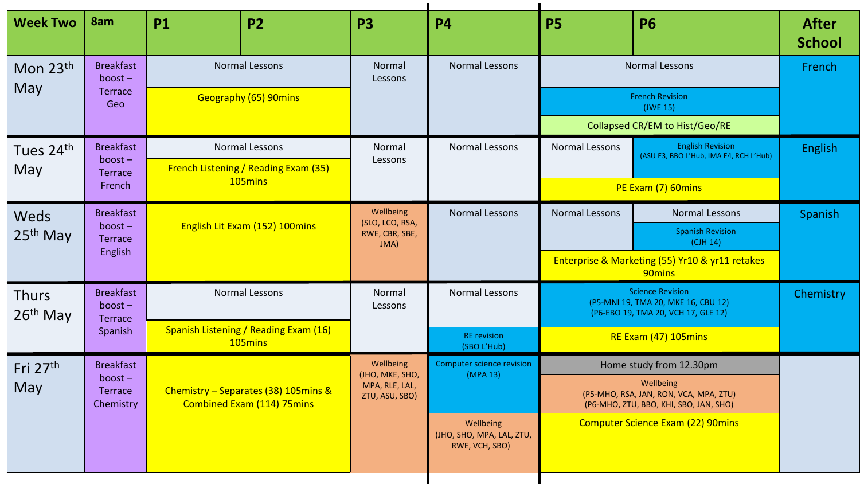| <b>Week Two</b>                      | 8am                                      | <b>P1</b>                                                          | <b>P2</b>                                                     | <b>P3</b>                                                | <b>P4</b>                                                                                     | <b>P5</b>                                                                                             | <b>P6</b>                                                         | <b>After</b><br><b>School</b> |
|--------------------------------------|------------------------------------------|--------------------------------------------------------------------|---------------------------------------------------------------|----------------------------------------------------------|-----------------------------------------------------------------------------------------------|-------------------------------------------------------------------------------------------------------|-------------------------------------------------------------------|-------------------------------|
| Mon 23th                             | <b>Breakfast</b><br>$boost -$            | <b>Normal Lessons</b><br>Geography (65) 90mins                     |                                                               | Normal<br>Lessons                                        | <b>Normal Lessons</b>                                                                         | Normal Lessons                                                                                        | French                                                            |                               |
| <b>May</b>                           | <b>Terrace</b><br>Geo                    |                                                                    |                                                               |                                                          |                                                                                               | <b>French Revision</b>                                                                                |                                                                   |                               |
|                                      |                                          |                                                                    |                                                               |                                                          |                                                                                               | Collapsed CR/EM to Hist/Geo/RE                                                                        |                                                                   |                               |
| Tues 24 <sup>th</sup><br>May         | <b>Breakfast</b><br>$boost -$            |                                                                    | Normal Lessons<br><b>French Listening / Reading Exam (35)</b> | Normal<br>Lessons                                        | Normal Lessons                                                                                | Normal Lessons                                                                                        | <b>English Revision</b><br>(ASU E3, BBO L'Hub, IMA E4, RCH L'Hub) | <b>English</b>                |
|                                      | <b>Terrace</b><br>French                 |                                                                    | 105mins                                                       |                                                          |                                                                                               | PE Exam (7) 60mins                                                                                    |                                                                   |                               |
| Weds                                 | <b>Breakfast</b>                         |                                                                    |                                                               | Wellbeing<br>(SLO, LCO, RSA,<br>RWE, CBR, SBE,<br>JMA)   | <b>Normal Lessons</b>                                                                         | <b>Normal Lessons</b>                                                                                 | Normal Lessons                                                    | <b>Spanish</b>                |
| $25th$ May                           | $boost -$<br><b>Terrace</b>              |                                                                    | English Lit Exam (152) 100mins                                |                                                          |                                                                                               |                                                                                                       | <b>Spanish Revision</b><br>(CH 14)                                |                               |
|                                      | English                                  |                                                                    |                                                               |                                                          |                                                                                               | Enterprise & Marketing (55) Yr10 & yr11 retakes<br>90 <sub>mins</sub>                                 |                                                                   |                               |
| <b>Thurs</b><br>26 <sup>th</sup> May | <b>Breakfast</b><br>$boost -$<br>Terrace |                                                                    | Normal Lessons                                                | Normal<br>Lessons                                        | Normal Lessons                                                                                | <b>Science Revision</b><br>(P5-MNI 19, TMA 20, MKE 16, CBU 12)<br>(P6-EBO 19, TMA 20, VCH 17, GLE 12) |                                                                   | Chemistry                     |
|                                      | Spanish                                  | Spanish Listening / Reading Exam (16)<br>105mins                   |                                                               |                                                          | <b>RE</b> revision<br>(SBO L'Hub)                                                             | RE Exam (47) 105mins                                                                                  |                                                                   |                               |
| Fri 27th                             | <b>Breakfast</b>                         |                                                                    | Wellbeing                                                     | <b>Computer science revision</b>                         | Home study from 12.30pm                                                                       |                                                                                                       |                                                                   |                               |
| May                                  | $boost -$<br><b>Terrace</b><br>Chemistry | Chemistry - Separates (38) 105mins &<br>Combined Exam (114) 75mins | (JHO, MKE, SHO,<br>MPA, RLE, LAL,<br>ZTU, ASU, SBO)           | (MPA 13)                                                 | Wellbeing<br>(P5-MHO, RSA, JAN, RON, VCA, MPA, ZTU)<br>(P6-MHO, ZTU, BBO, KHI, SBO, JAN, SHO) |                                                                                                       |                                                                   |                               |
|                                      |                                          |                                                                    |                                                               | Wellbeing<br>(JHO, SHO, MPA, LAL, ZTU,<br>RWE, VCH, SBO) |                                                                                               | <b>Computer Science Exam (22) 90mins</b>                                                              |                                                                   |                               |
|                                      |                                          |                                                                    |                                                               |                                                          |                                                                                               |                                                                                                       |                                                                   |                               |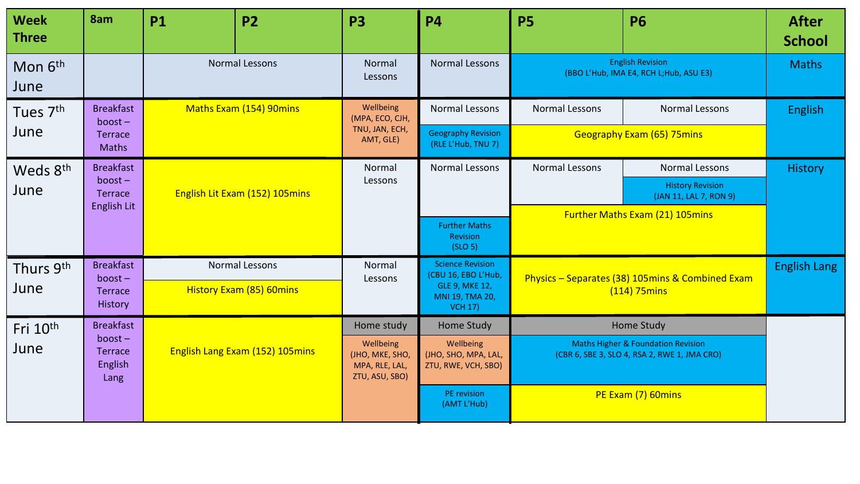| <b>Week</b><br><b>Three</b> | 8am                                            | <b>P1</b>                                         | <b>P2</b>                                                        | <b>P3</b>                                                | <b>P4</b>                                                                                     | <b>P5</b>                                                             | <b>P6</b>                                         | <b>After</b><br><b>School</b> |
|-----------------------------|------------------------------------------------|---------------------------------------------------|------------------------------------------------------------------|----------------------------------------------------------|-----------------------------------------------------------------------------------------------|-----------------------------------------------------------------------|---------------------------------------------------|-------------------------------|
| Mon 6 <sup>th</sup><br>June |                                                | <b>Normal Lessons</b>                             |                                                                  | Normal<br>Lessons                                        | <b>Normal Lessons</b>                                                                         | <b>English Revision</b><br>(BBO L'Hub, IMA E4, RCH L; Hub, ASU E3)    |                                                   | <b>Maths</b>                  |
| Tues 7 <sup>th</sup>        | <b>Breakfast</b><br>$boost -$                  | <b>Maths Exam (154) 90mins</b>                    |                                                                  | Wellbeing<br>(MPA, ECO, CJH,                             | <b>Normal Lessons</b>                                                                         | Normal Lessons                                                        | <b>Normal Lessons</b>                             | <b>English</b>                |
| June                        | <b>Terrace</b><br><b>Maths</b>                 |                                                   |                                                                  | TNU, JAN, ECH,<br>AMT, GLE)                              | <b>Geography Revision</b><br>(RLE L'Hub, TNU 7)                                               | <b>Geography Exam (65) 75mins</b>                                     |                                                   |                               |
| Weds 8th                    | <b>Breakfast</b>                               |                                                   |                                                                  | Normal                                                   | <b>Normal Lessons</b>                                                                         | <b>Normal Lessons</b>                                                 | Normal Lessons                                    | <b>History</b>                |
| June                        | $boost -$<br><b>Terrace</b>                    | English Lit Exam (152) 105mins                    |                                                                  | Lessons                                                  |                                                                                               |                                                                       | <b>History Revision</b><br>(JAN 11, LAL 7, RON 9) |                               |
|                             | English Lit                                    |                                                   |                                                                  |                                                          | <b>Further Maths</b><br>Revision<br>(SLO 5)                                                   | <b>Further Maths Exam (21) 105mins</b>                                |                                                   |                               |
| Thurs 9th                   | <b>Breakfast</b>                               | Normal Lessons<br><b>History Exam (85) 60mins</b> |                                                                  | Normal                                                   | <b>Science Revision</b><br>(CBU 16, EBO L'Hub,                                                | Physics - Separates (38) 105mins & Combined Exam<br>$(114)$ 75 $mins$ |                                                   | <b>English Lang</b>           |
| June                        | $boost -$<br><b>Terrace</b><br>History         |                                                   |                                                                  | Lessons                                                  | <b>GLE 9, MKE 12,</b><br>MNI 19, TMA 20,<br><b>VCH 17)</b>                                    |                                                                       |                                                   |                               |
| Fri 10 <sup>th</sup>        | <b>Breakfast</b>                               |                                                   |                                                                  | Home study                                               | Home Study                                                                                    | <b>Home Study</b>                                                     |                                                   |                               |
| June                        | $boost -$<br><b>Terrace</b><br>English<br>Lang | English Lang Exam (152) 105mins                   | Wellbeing<br>(JHO, MKE, SHO,<br>MPA, RLE, LAL,<br>ZTU, ASU, SBO) | Wellbeing<br>(JHO, SHO, MPA, LAL,<br>ZTU, RWE, VCH, SBO) | <b>Maths Higher &amp; Foundation Revision</b><br>(CBR 6, SBE 3, SLO 4, RSA 2, RWE 1, JMA CRO) |                                                                       |                                                   |                               |
|                             |                                                |                                                   |                                                                  | PE revision<br>(AMT L'Hub)                               | PE Exam (7) 60mins                                                                            |                                                                       |                                                   |                               |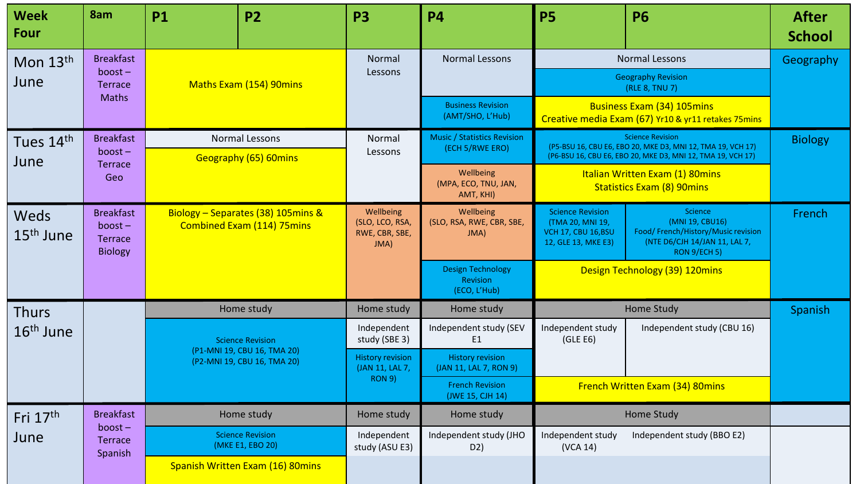| <b>Week</b><br>Four           | 8am                                                        | <b>P1</b>                                                  | <b>P2</b>                                                               | <b>P3</b>                                                   | <b>P4</b>                                             | <b>P5</b>                                                                                 | <b>P6</b>                                                                                                         | <b>After</b><br><b>School</b> |
|-------------------------------|------------------------------------------------------------|------------------------------------------------------------|-------------------------------------------------------------------------|-------------------------------------------------------------|-------------------------------------------------------|-------------------------------------------------------------------------------------------|-------------------------------------------------------------------------------------------------------------------|-------------------------------|
| Mon 13th                      | <b>Breakfast</b>                                           |                                                            |                                                                         | Normal                                                      | <b>Normal Lessons</b>                                 | Normal Lessons                                                                            | Geography                                                                                                         |                               |
| June                          | $boost -$<br>Terrace<br><b>Maths</b>                       |                                                            | <b>Maths Exam (154) 90mins</b>                                          | Lessons                                                     |                                                       |                                                                                           | <b>Geography Revision</b><br>(RLE 8, TNU 7)                                                                       |                               |
|                               |                                                            |                                                            |                                                                         |                                                             | <b>Business Revision</b><br>(AMT/SHO, L'Hub)          | <b>Business Exam (34) 105mins</b><br>Creative media Exam (67) Yr10 & yr11 retakes 75mins  |                                                                                                                   |                               |
| Tues 14th                     | <b>Breakfast</b>                                           |                                                            | Normal Lessons                                                          |                                                             | <b>Music / Statistics Revision</b><br>(ECH 5/RWE ERO) | <b>Science Revision</b><br>(P5-BSU 16, CBU E6, EBO 20, MKE D3, MNI 12, TMA 19, VCH 17)    | <b>Biology</b>                                                                                                    |                               |
| June                          | $boost -$<br><b>Terrace</b>                                |                                                            | Geography (65) 60mins                                                   | Lessons                                                     |                                                       |                                                                                           | (P6-BSU 16, CBU E6, EBO 20, MKE D3, MNI 12, TMA 19, VCH 17)                                                       |                               |
|                               | Geo                                                        |                                                            |                                                                         |                                                             | Wellbeing<br>(MPA, ECO, TNU, JAN,<br>AMT, KHI)        | Italian Written Exam (1) 80mins<br><b>Statistics Exam (8) 90mins</b>                      |                                                                                                                   |                               |
| Weds<br>15 <sup>th</sup> June | <b>Breakfast</b><br>$boost -$<br>Terrace<br><b>Biology</b> |                                                            | Biology - Separates (38) 105mins &<br><b>Combined Exam (114) 75mins</b> | Wellbeing<br>(SLO, LCO, RSA,<br>RWE, CBR, SBE,<br>JMA)      | Wellbeing<br>(SLO, RSA, RWE, CBR, SBE,<br>JMA)        | <b>Science Revision</b><br>(TMA 20, MNI 19,<br>VCH 17, CBU 16, BSU<br>12, GLE 13, MKE E3) | Science<br>(MNI 19, CBU16)<br>Food/French/History/Music revision<br>(NTE D6/CJH 14/JAN 11, LAL 7,<br>RON 9/ECH 5) | French                        |
|                               |                                                            |                                                            |                                                                         |                                                             | <b>Design Technology</b><br>Revision<br>(ECO, L'Hub)  | Design Technology (39) 120mins                                                            |                                                                                                                   |                               |
| <b>Thurs</b>                  |                                                            |                                                            | Home study                                                              | Home study                                                  | Home study                                            |                                                                                           | <b>Home Study</b>                                                                                                 | Spanish                       |
| $16th$ June                   |                                                            |                                                            | <b>Science Revision</b>                                                 | Independent<br>study (SBE 3)                                | Independent study (SEV<br>E1                          | Independent study<br>(GLE E6)                                                             | Independent study (CBU 16)                                                                                        |                               |
|                               |                                                            | (P1-MNI 19, CBU 16, TMA 20)<br>(P2-MNI 19, CBU 16, TMA 20) |                                                                         | <b>History revision</b><br>(JAN 11, LAL 7,<br><b>RON 9)</b> | <b>History revision</b><br>(JAN 11, LAL 7, RON 9)     |                                                                                           |                                                                                                                   |                               |
|                               |                                                            |                                                            |                                                                         |                                                             | <b>French Revision</b><br>(JWE 15, CJH 14)            | French Written Exam (34) 80mins                                                           |                                                                                                                   |                               |
| Fri 17th                      | <b>Breakfast</b>                                           |                                                            | Home study                                                              | Home study                                                  | Home study                                            |                                                                                           | <b>Home Study</b>                                                                                                 |                               |
| June                          | $boost -$<br>Terrace<br>Spanish                            |                                                            | <b>Science Revision</b><br>(MKE E1, EBO 20)                             | Independent<br>study (ASU E3)                               | Independent study (JHO<br>D <sub>2</sub> )            | Independent study<br>(VCA 14)                                                             | Independent study (BBO E2)                                                                                        |                               |
|                               |                                                            |                                                            | Spanish Written Exam (16) 80mins                                        |                                                             |                                                       |                                                                                           |                                                                                                                   |                               |